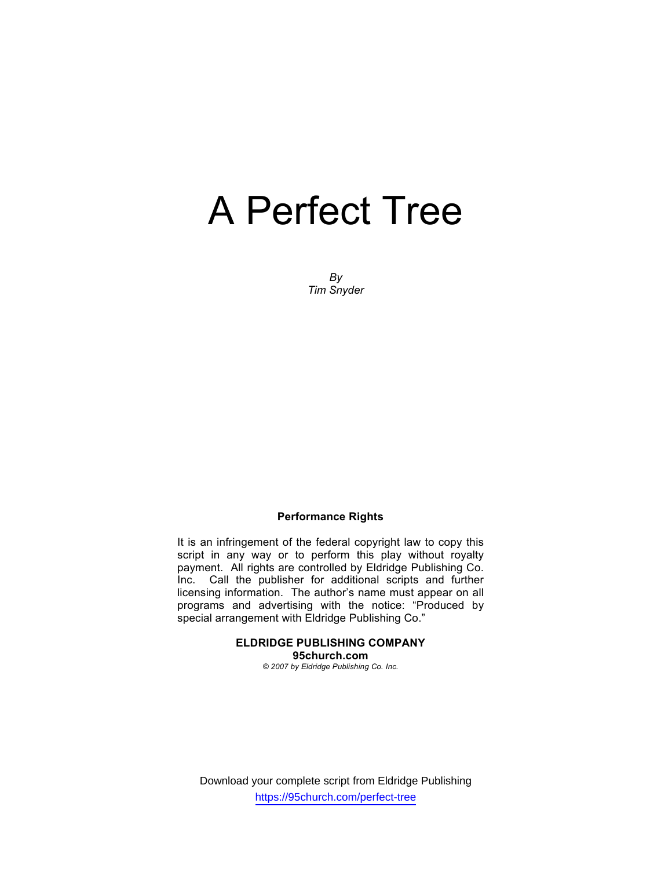*By Tim Snyder* 

#### **Performance Rights**

It is an infringement of the federal copyright law to copy this script in any way or to perform this play without royalty payment. All rights are controlled by Eldridge Publishing Co. Inc. Call the publisher for additional scripts and further licensing information. The author's name must appear on all programs and advertising with the notice: "Produced by special arrangement with Eldridge Publishing Co."

#### **ELDRIDGE PUBLISHING COMPANY 95church.com**  *© 2007 by Eldridge Publishing Co. Inc.*

Download your complete script from Eldridge Publishing https://95church.com/perfect-tree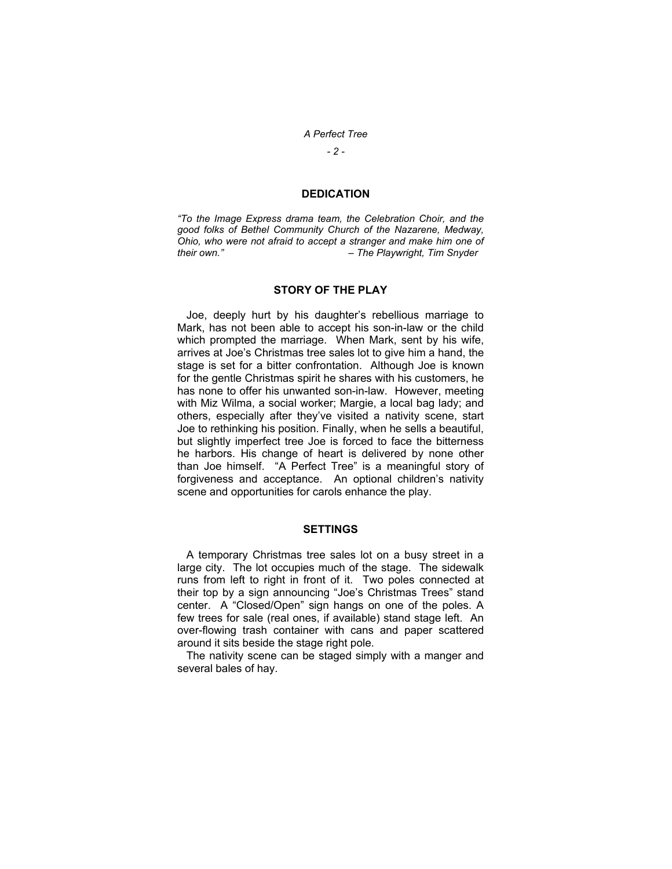*- 2 -* 

#### **DEDICATION**

*"To the Image Express drama team, the Celebration Choir, and the good folks of Bethel Community Church of the Nazarene, Medway, Ohio, who were not afraid to accept a stranger and make him one of*   $-$  The Playwright, Tim Snyder

#### **STORY OF THE PLAY**

 Joe, deeply hurt by his daughter's rebellious marriage to Mark, has not been able to accept his son-in-law or the child which prompted the marriage. When Mark, sent by his wife, arrives at Joe's Christmas tree sales lot to give him a hand, the stage is set for a bitter confrontation. Although Joe is known for the gentle Christmas spirit he shares with his customers, he has none to offer his unwanted son-in-law. However, meeting with Miz Wilma, a social worker; Margie, a local bag lady; and others, especially after they've visited a nativity scene, start Joe to rethinking his position. Finally, when he sells a beautiful, but slightly imperfect tree Joe is forced to face the bitterness he harbors. His change of heart is delivered by none other than Joe himself. "A Perfect Tree" is a meaningful story of forgiveness and acceptance. An optional children's nativity scene and opportunities for carols enhance the play.

#### **SETTINGS**

 A temporary Christmas tree sales lot on a busy street in a large city. The lot occupies much of the stage. The sidewalk runs from left to right in front of it. Two poles connected at their top by a sign announcing "Joe's Christmas Trees" stand center. A "Closed/Open" sign hangs on one of the poles. A few trees for sale (real ones, if available) stand stage left. An over-flowing trash container with cans and paper scattered around it sits beside the stage right pole.

 The nativity scene can be staged simply with a manger and several bales of hay.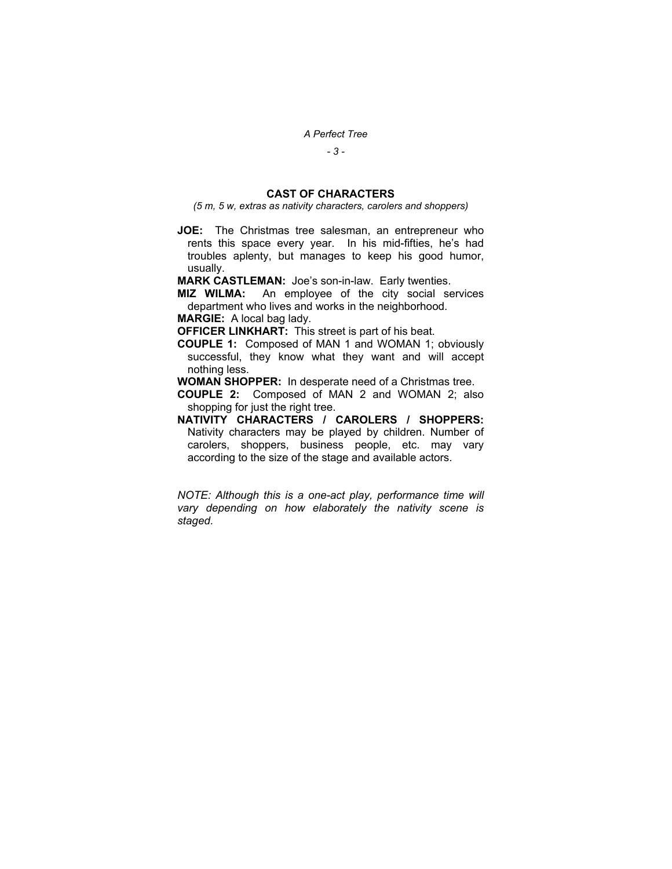*- 3 -* 

## **CAST OF CHARACTERS**

*(5 m, 5 w, extras as nativity characters, carolers and shoppers)* 

**JOE:** The Christmas tree salesman, an entrepreneur who rents this space every year. In his mid-fifties, he's had troubles aplenty, but manages to keep his good humor, usually.

**MARK CASTLEMAN:** Joe's son-in-law. Early twenties.

**MIZ WILMA:** An employee of the city social services department who lives and works in the neighborhood.

**MARGIE:** A local bag lady.

**OFFICER LINKHART:** This street is part of his beat.

- **COUPLE 1:** Composed of MAN 1 and WOMAN 1; obviously successful, they know what they want and will accept nothing less.
- **WOMAN SHOPPER:** In desperate need of a Christmas tree.
- **COUPLE 2:** Composed of MAN 2 and WOMAN 2; also shopping for just the right tree.
- **NATIVITY CHARACTERS / CAROLERS / SHOPPERS:**  Nativity characters may be played by children. Number of carolers, shoppers, business people, etc. may vary according to the size of the stage and available actors.

*NOTE: Although this is a one-act play, performance time will vary depending on how elaborately the nativity scene is staged.*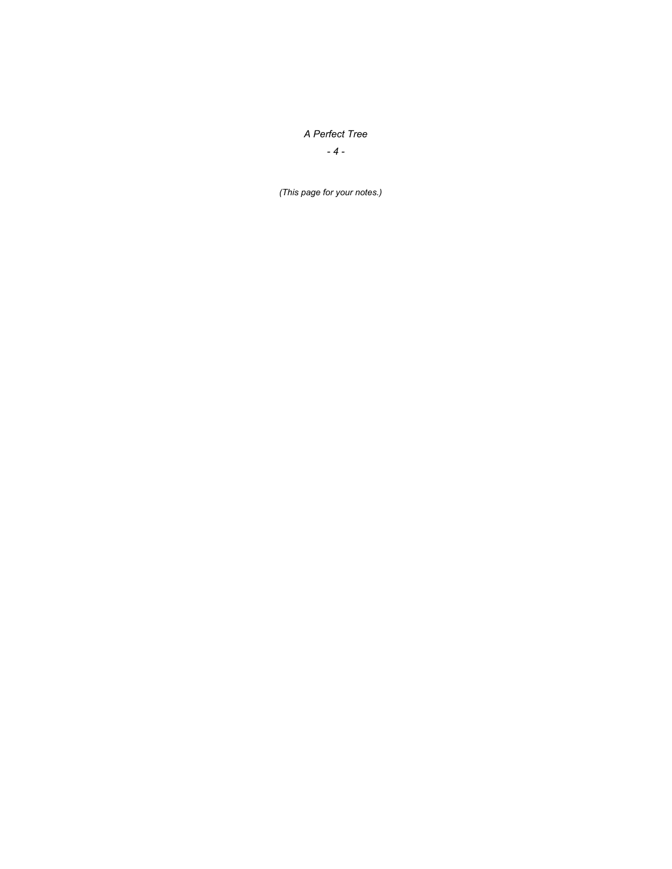*- 4 -* 

*(This page for your notes.)*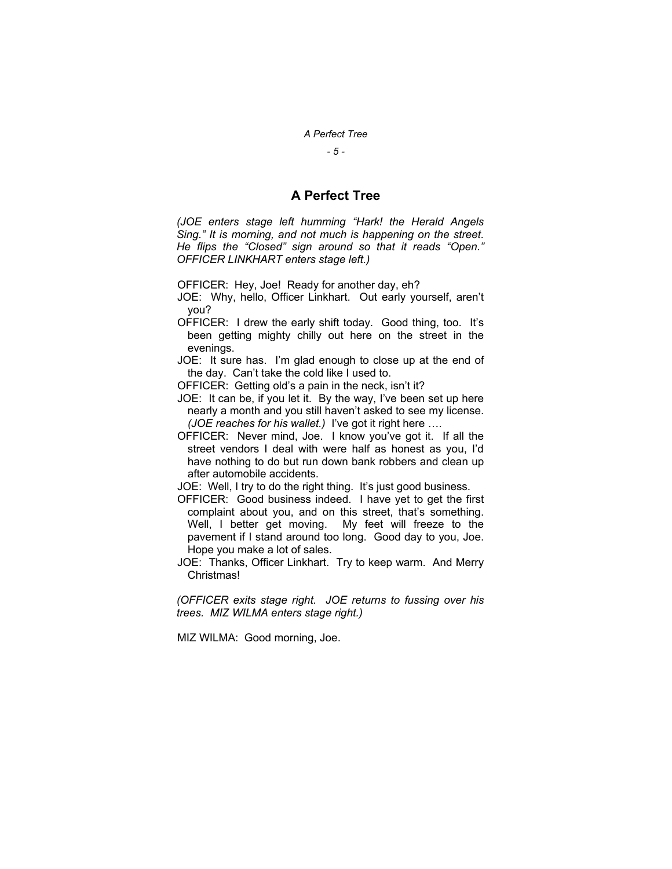*- 5 -* 

## **A Perfect Tree**

*(JOE enters stage left humming "Hark! the Herald Angels Sing." It is morning, and not much is happening on the street. He flips the "Closed" sign around so that it reads "Open." OFFICER LINKHART enters stage left.)* 

OFFICER: Hey, Joe! Ready for another day, eh?

- JOE: Why, hello, Officer Linkhart. Out early yourself, aren't you?
- OFFICER: I drew the early shift today. Good thing, too. It's been getting mighty chilly out here on the street in the evenings.
- JOE: It sure has. I'm glad enough to close up at the end of the day. Can't take the cold like I used to.
- OFFICER: Getting old's a pain in the neck, isn't it?
- JOE: It can be, if you let it. By the way, I've been set up here nearly a month and you still haven't asked to see my license. *(JOE reaches for his wallet.)* I've got it right here ….
- OFFICER: Never mind, Joe. I know you've got it. If all the street vendors I deal with were half as honest as you, I'd have nothing to do but run down bank robbers and clean up after automobile accidents.

JOE: Well, I try to do the right thing. It's just good business.

- OFFICER: Good business indeed. I have yet to get the first complaint about you, and on this street, that's something. Well, I better get moving. My feet will freeze to the pavement if I stand around too long. Good day to you, Joe. Hope you make a lot of sales.
- JOE: Thanks, Officer Linkhart. Try to keep warm. And Merry Christmas!

*(OFFICER exits stage right. JOE returns to fussing over his trees. MIZ WILMA enters stage right.)* 

MIZ WILMA: Good morning, Joe.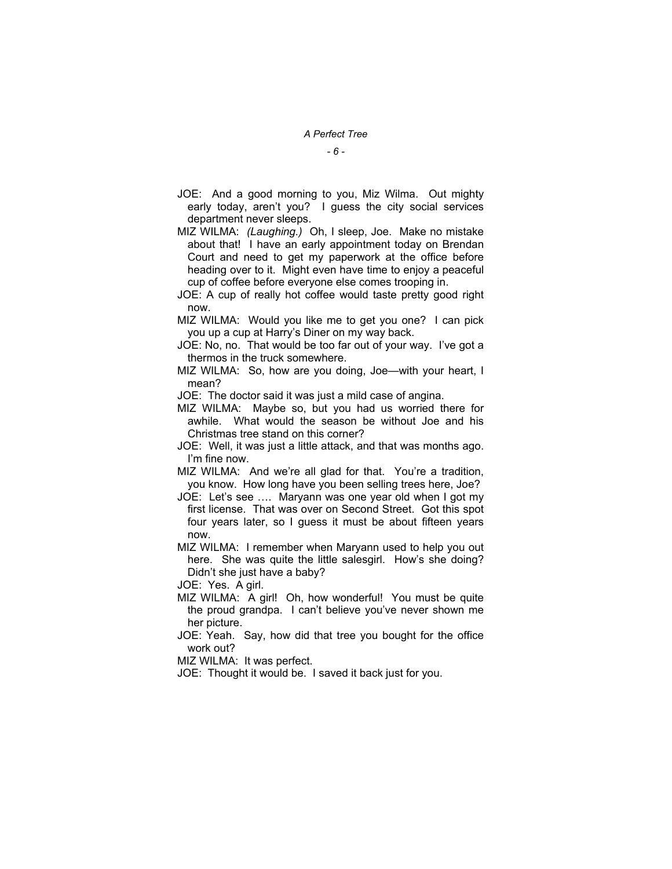*- 6 -* 

- JOE: And a good morning to you, Miz Wilma. Out mighty early today, aren't you? I guess the city social services department never sleeps.
- MIZ WILMA: *(Laughing.)* Oh, I sleep, Joe. Make no mistake about that! I have an early appointment today on Brendan Court and need to get my paperwork at the office before heading over to it. Might even have time to enjoy a peaceful cup of coffee before everyone else comes trooping in.
- JOE: A cup of really hot coffee would taste pretty good right now.
- MIZ WILMA: Would you like me to get you one? I can pick you up a cup at Harry's Diner on my way back.
- JOE: No, no. That would be too far out of your way. I've got a thermos in the truck somewhere.
- MIZ WILMA: So, how are you doing, Joe—with your heart, I mean?
- JOE: The doctor said it was just a mild case of angina.
- MIZ WILMA: Maybe so, but you had us worried there for awhile. What would the season be without Joe and his Christmas tree stand on this corner?
- JOE: Well, it was just a little attack, and that was months ago. I'm fine now.
- MIZ WILMA: And we're all glad for that. You're a tradition, you know. How long have you been selling trees here, Joe?
- JOE: Let's see …. Maryann was one year old when I got my first license. That was over on Second Street. Got this spot four years later, so I guess it must be about fifteen years now.
- MIZ WILMA: I remember when Maryann used to help you out here. She was quite the little salesgirl. How's she doing? Didn't she just have a baby?
- JOE: Yes. A girl.
- MIZ WILMA: A girl! Oh, how wonderful! You must be quite the proud grandpa. I can't believe you've never shown me her picture.
- JOE: Yeah. Say, how did that tree you bought for the office work out?
- MIZ WILMA: It was perfect.
- JOE: Thought it would be. I saved it back just for you.